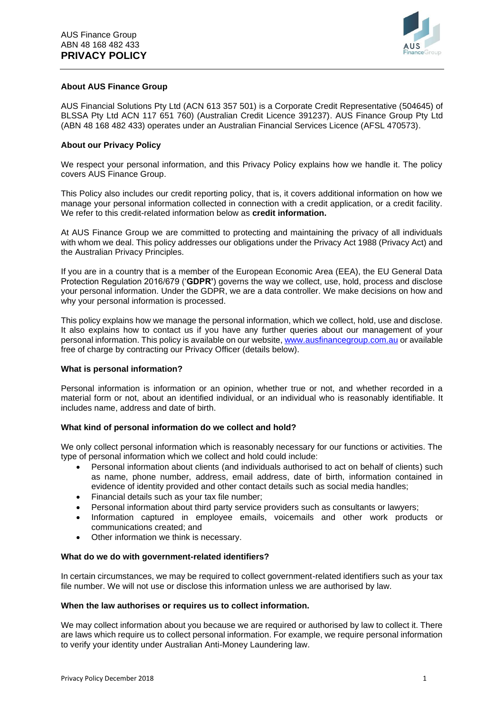

## **About AUS Finance Group**

AUS Financial Solutions Pty Ltd (ACN 613 357 501) is a Corporate Credit Representative (504645) of BLSSA Pty Ltd ACN 117 651 760) (Australian Credit Licence 391237). AUS Finance Group Pty Ltd (ABN 48 168 482 433) operates under an Australian Financial Services Licence (AFSL 470573).

## **About our Privacy Policy**

We respect your personal information, and this Privacy Policy explains how we handle it. The policy covers AUS Finance Group.

This Policy also includes our credit reporting policy, that is, it covers additional information on how we manage your personal information collected in connection with a credit application, or a credit facility. We refer to this credit-related information below as **credit information.**

At AUS Finance Group we are committed to protecting and maintaining the privacy of all individuals with whom we deal. This policy addresses our obligations under the Privacy Act 1988 (Privacy Act) and the Australian Privacy Principles.

If you are in a country that is a member of the European Economic Area (EEA), the EU General Data Protection Regulation 2016/679 ('**GDPR'**) governs the way we collect, use, hold, process and disclose your personal information. Under the GDPR, we are a data controller. We make decisions on how and why your personal information is processed.

This policy explains how we manage the personal information, which we collect, hold, use and disclose. It also explains how to contact us if you have any further queries about our management of your personal information. This policy is available on our website, [www.ausfinancegroup.com.au](http://www.ausfinancegroup.com.au/) or available free of charge by contracting our Privacy Officer (details below).

#### **What is personal information?**

Personal information is information or an opinion, whether true or not, and whether recorded in a material form or not, about an identified individual, or an individual who is reasonably identifiable. It includes name, address and date of birth.

# **What kind of personal information do we collect and hold?**

We only collect personal information which is reasonably necessary for our functions or activities. The type of personal information which we collect and hold could include:

- Personal information about clients (and individuals authorised to act on behalf of clients) such as name, phone number, address, email address, date of birth, information contained in evidence of identity provided and other contact details such as social media handles;
- Financial details such as your tax file number:
- Personal information about third party service providers such as consultants or lawyers;
- Information captured in employee emails, voicemails and other work products or communications created; and
- Other information we think is necessary.

#### **What do we do with government-related identifiers?**

In certain circumstances, we may be required to collect government-related identifiers such as your tax file number. We will not use or disclose this information unless we are authorised by law.

#### **When the law authorises or requires us to collect information.**

We may collect information about you because we are required or authorised by law to collect it. There are laws which require us to collect personal information. For example, we require personal information to verify your identity under Australian Anti-Money Laundering law.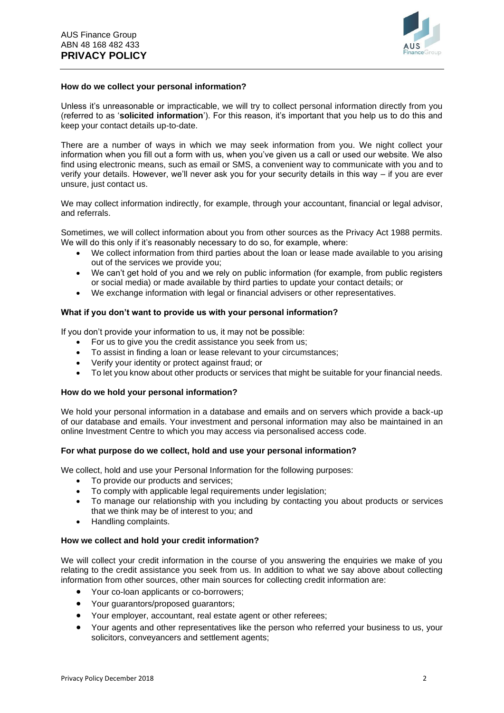

### **How do we collect your personal information?**

Unless it's unreasonable or impracticable, we will try to collect personal information directly from you (referred to as '**solicited information**'). For this reason, it's important that you help us to do this and keep your contact details up-to-date.

There are a number of ways in which we may seek information from you. We night collect your information when you fill out a form with us, when you've given us a call or used our website. We also find using electronic means, such as email or SMS, a convenient way to communicate with you and to verify your details. However, we'll never ask you for your security details in this way – if you are ever unsure, just contact us.

We may collect information indirectly, for example, through your accountant, financial or legal advisor, and referrals.

Sometimes, we will collect information about you from other sources as the Privacy Act 1988 permits. We will do this only if it's reasonably necessary to do so, for example, where:

- We collect information from third parties about the loan or lease made available to you arising out of the services we provide you;
- We can't get hold of you and we rely on public information (for example, from public registers or social media) or made available by third parties to update your contact details; or
- We exchange information with legal or financial advisers or other representatives.

## **What if you don't want to provide us with your personal information?**

If you don't provide your information to us, it may not be possible:

- For us to give you the credit assistance you seek from us:
- To assist in finding a loan or lease relevant to your circumstances;
- Verify your identity or protect against fraud; or
- To let you know about other products or services that might be suitable for your financial needs.

#### **How do we hold your personal information?**

We hold your personal information in a database and emails and on servers which provide a back-up of our database and emails. Your investment and personal information may also be maintained in an online Investment Centre to which you may access via personalised access code.

#### **For what purpose do we collect, hold and use your personal information?**

We collect, hold and use your Personal Information for the following purposes:

- To provide our products and services;
- To comply with applicable legal requirements under legislation;
- To manage our relationship with you including by contacting you about products or services that we think may be of interest to you; and
- Handling complaints.

#### **How we collect and hold your credit information?**

We will collect your credit information in the course of you answering the enquiries we make of you relating to the credit assistance you seek from us. In addition to what we say above about collecting information from other sources, other main sources for collecting credit information are:

- Your co-loan applicants or co-borrowers;
- Your guarantors/proposed guarantors;
- Your employer, accountant, real estate agent or other referees;
- Your agents and other representatives like the person who referred your business to us, your solicitors, conveyancers and settlement agents;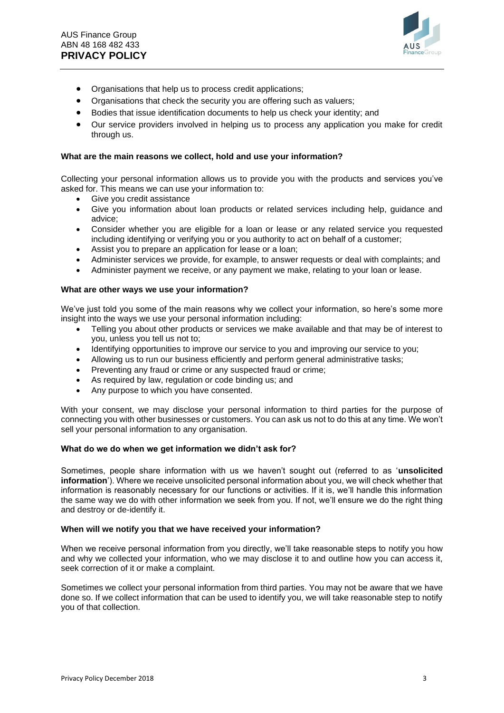

- Organisations that help us to process credit applications;
- Organisations that check the security you are offering such as valuers:
- Bodies that issue identification documents to help us check your identity; and
- Our service providers involved in helping us to process any application you make for credit through us.

## **What are the main reasons we collect, hold and use your information?**

Collecting your personal information allows us to provide you with the products and services you've asked for. This means we can use your information to:

- Give you credit assistance
- Give you information about loan products or related services including help, guidance and advice;
- Consider whether you are eligible for a loan or lease or any related service you requested including identifying or verifying you or you authority to act on behalf of a customer;
- Assist you to prepare an application for lease or a loan;
- Administer services we provide, for example, to answer requests or deal with complaints; and
- Administer payment we receive, or any payment we make, relating to your loan or lease.

#### **What are other ways we use your information?**

We've just told you some of the main reasons why we collect your information, so here's some more insight into the ways we use your personal information including:

- Telling you about other products or services we make available and that may be of interest to you, unless you tell us not to;
- Identifying opportunities to improve our service to you and improving our service to you;
- Allowing us to run our business efficiently and perform general administrative tasks;
- Preventing any fraud or crime or any suspected fraud or crime;
- As required by law, regulation or code binding us; and
- Any purpose to which you have consented.

With your consent, we may disclose your personal information to third parties for the purpose of connecting you with other businesses or customers. You can ask us not to do this at any time. We won't sell your personal information to any organisation.

#### **What do we do when we get information we didn't ask for?**

Sometimes, people share information with us we haven't sought out (referred to as '**unsolicited information**'). Where we receive unsolicited personal information about you, we will check whether that information is reasonably necessary for our functions or activities. If it is, we'll handle this information the same way we do with other information we seek from you. If not, we'll ensure we do the right thing and destroy or de-identify it.

#### **When will we notify you that we have received your information?**

When we receive personal information from you directly, we'll take reasonable steps to notify you how and why we collected your information, who we may disclose it to and outline how you can access it, seek correction of it or make a complaint.

Sometimes we collect your personal information from third parties. You may not be aware that we have done so. If we collect information that can be used to identify you, we will take reasonable step to notify you of that collection.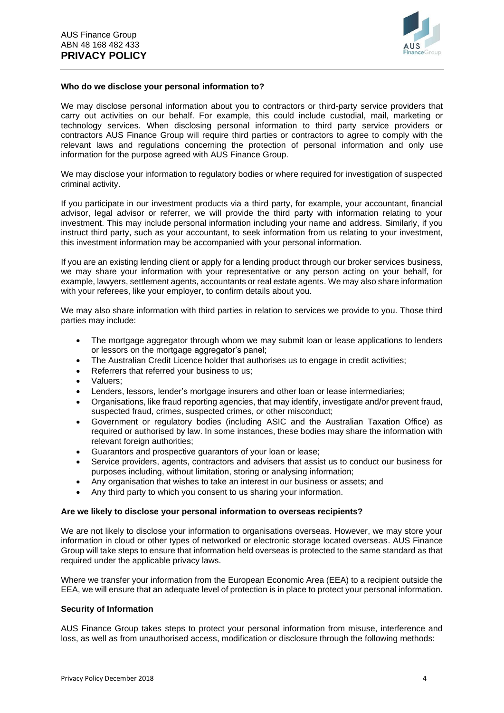

### **Who do we disclose your personal information to?**

We may disclose personal information about you to contractors or third-party service providers that carry out activities on our behalf. For example, this could include custodial, mail, marketing or technology services. When disclosing personal information to third party service providers or contractors AUS Finance Group will require third parties or contractors to agree to comply with the relevant laws and regulations concerning the protection of personal information and only use information for the purpose agreed with AUS Finance Group.

We may disclose your information to regulatory bodies or where required for investigation of suspected criminal activity.

If you participate in our investment products via a third party, for example, your accountant, financial advisor, legal advisor or referrer, we will provide the third party with information relating to your investment. This may include personal information including your name and address. Similarly, if you instruct third party, such as your accountant, to seek information from us relating to your investment, this investment information may be accompanied with your personal information.

If you are an existing lending client or apply for a lending product through our broker services business, we may share your information with your representative or any person acting on your behalf, for example, lawyers, settlement agents, accountants or real estate agents. We may also share information with your referees, like your employer, to confirm details about you.

We may also share information with third parties in relation to services we provide to you. Those third parties may include:

- The mortgage aggregator through whom we may submit loan or lease applications to lenders or lessors on the mortgage aggregator's panel;
- The Australian Credit Licence holder that authorises us to engage in credit activities:
- Referrers that referred your business to us;
- Valuers;
- Lenders, lessors, lender's mortgage insurers and other loan or lease intermediaries;
- Organisations, like fraud reporting agencies, that may identify, investigate and/or prevent fraud, suspected fraud, crimes, suspected crimes, or other misconduct;
- Government or regulatory bodies (including ASIC and the Australian Taxation Office) as required or authorised by law. In some instances, these bodies may share the information with relevant foreign authorities;
- Guarantors and prospective guarantors of your loan or lease;
- Service providers, agents, contractors and advisers that assist us to conduct our business for purposes including, without limitation, storing or analysing information;
- Any organisation that wishes to take an interest in our business or assets; and
- Any third party to which you consent to us sharing your information.

#### **Are we likely to disclose your personal information to overseas recipients?**

We are not likely to disclose your information to organisations overseas. However, we may store your information in cloud or other types of networked or electronic storage located overseas. AUS Finance Group will take steps to ensure that information held overseas is protected to the same standard as that required under the applicable privacy laws.

Where we transfer your information from the European Economic Area (EEA) to a recipient outside the EEA, we will ensure that an adequate level of protection is in place to protect your personal information.

#### **Security of Information**

AUS Finance Group takes steps to protect your personal information from misuse, interference and loss, as well as from unauthorised access, modification or disclosure through the following methods: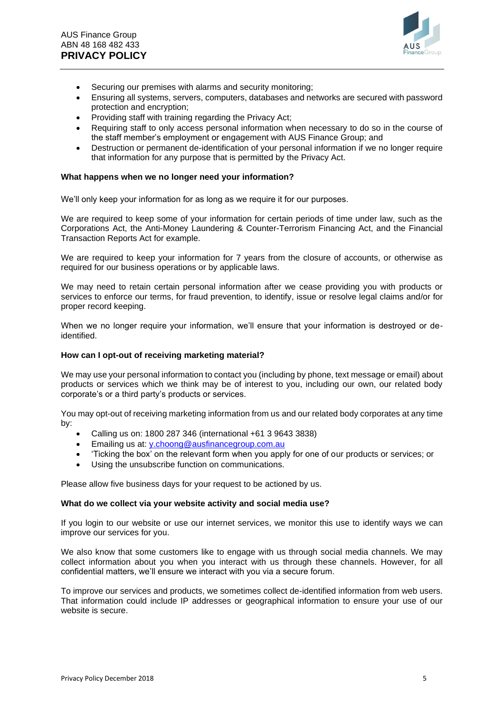

- Securing our premises with alarms and security monitoring;
- Ensuring all systems, servers, computers, databases and networks are secured with password protection and encryption;
- Providing staff with training regarding the Privacy Act;
- Requiring staff to only access personal information when necessary to do so in the course of the staff member's employment or engagement with AUS Finance Group; and
- Destruction or permanent de-identification of your personal information if we no longer require that information for any purpose that is permitted by the Privacy Act.

### **What happens when we no longer need your information?**

We'll only keep your information for as long as we require it for our purposes.

We are required to keep some of your information for certain periods of time under law, such as the Corporations Act, the Anti-Money Laundering & Counter-Terrorism Financing Act, and the Financial Transaction Reports Act for example.

We are required to keep your information for 7 years from the closure of accounts, or otherwise as required for our business operations or by applicable laws.

We may need to retain certain personal information after we cease providing you with products or services to enforce our terms, for fraud prevention, to identify, issue or resolve legal claims and/or for proper record keeping.

When we no longer require your information, we'll ensure that your information is destroyed or deidentified.

#### **How can I opt-out of receiving marketing material?**

We may use your personal information to contact you (including by phone, text message or email) about products or services which we think may be of interest to you, including our own, our related body corporate's or a third party's products or services.

You may opt-out of receiving marketing information from us and our related body corporates at any time by:

- Calling us on: 1800 287 346 (international +61 3 9643 3838)
- Emailing us at: [y.choong@ausfinancegroup.com.au](mailto:y.choong@ausfinancegroup.com.au)
- 'Ticking the box' on the relevant form when you apply for one of our products or services; or
- Using the unsubscribe function on communications.

Please allow five business days for your request to be actioned by us.

#### **What do we collect via your website activity and social media use?**

If you login to our website or use our internet services, we monitor this use to identify ways we can improve our services for you.

We also know that some customers like to engage with us through social media channels. We may collect information about you when you interact with us through these channels. However, for all confidential matters, we'll ensure we interact with you via a secure forum.

To improve our services and products, we sometimes collect de-identified information from web users. That information could include IP addresses or geographical information to ensure your use of our website is secure.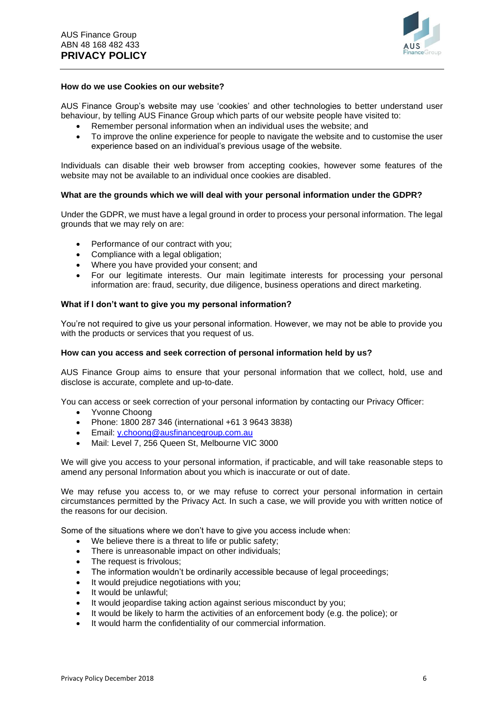

#### **How do we use Cookies on our website?**

AUS Finance Group's website may use 'cookies' and other technologies to better understand user behaviour, by telling AUS Finance Group which parts of our website people have visited to:

- Remember personal information when an individual uses the website; and
- To improve the online experience for people to navigate the website and to customise the user experience based on an individual's previous usage of the website.

Individuals can disable their web browser from accepting cookies, however some features of the website may not be available to an individual once cookies are disabled.

#### **What are the grounds which we will deal with your personal information under the GDPR?**

Under the GDPR, we must have a legal ground in order to process your personal information. The legal grounds that we may rely on are:

- Performance of our contract with you;
- Compliance with a legal obligation;
- Where you have provided your consent; and
- For our legitimate interests. Our main legitimate interests for processing your personal information are: fraud, security, due diligence, business operations and direct marketing.

#### **What if I don't want to give you my personal information?**

You're not required to give us your personal information. However, we may not be able to provide you with the products or services that you request of us.

## **How can you access and seek correction of personal information held by us?**

AUS Finance Group aims to ensure that your personal information that we collect, hold, use and disclose is accurate, complete and up-to-date.

You can access or seek correction of your personal information by contacting our Privacy Officer:

- Yvonne Choong
- Phone: 1800 287 346 (international +61 3 9643 3838)
- Email: [y.choong@ausfinancegroup.com.au](mailto:y.choong@ausfinancegroup.com.au)
- Mail: Level 7, 256 Queen St, Melbourne VIC 3000

We will give you access to your personal information, if practicable, and will take reasonable steps to amend any personal Information about you which is inaccurate or out of date.

We may refuse you access to, or we may refuse to correct your personal information in certain circumstances permitted by the Privacy Act. In such a case, we will provide you with written notice of the reasons for our decision.

Some of the situations where we don't have to give you access include when:

- We believe there is a threat to life or public safety;
- There is unreasonable impact on other individuals;
- The request is frivolous;
- The information wouldn't be ordinarily accessible because of legal proceedings:
- It would prejudice negotiations with you;
- It would be unlawful;
- It would jeopardise taking action against serious misconduct by you;
- It would be likely to harm the activities of an enforcement body (e.g. the police); or
- It would harm the confidentiality of our commercial information.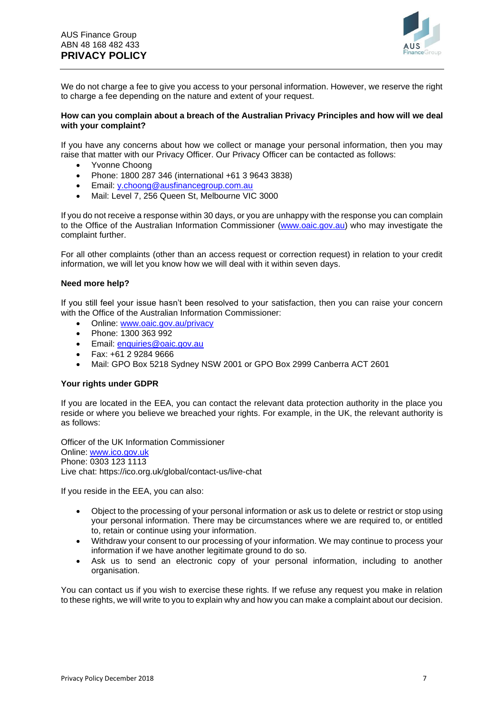

We do not charge a fee to give you access to your personal information. However, we reserve the right to charge a fee depending on the nature and extent of your request.

#### **How can you complain about a breach of the Australian Privacy Principles and how will we deal with your complaint?**

If you have any concerns about how we collect or manage your personal information, then you may raise that matter with our Privacy Officer. Our Privacy Officer can be contacted as follows:

- Yvonne Choong
- Phone: 1800 287 346 (international +61 3 9643 3838)
- Email: [y.choong@ausfinancegroup.com.au](mailto:y.choong@ausfinancegroup.com.au)
- Mail: Level 7, 256 Queen St, Melbourne VIC 3000

If you do not receive a response within 30 days, or you are unhappy with the response you can complain to the Office of the Australian Information Commissioner [\(www.oaic.gov.au\)](http://www.oaic.gov.au/) who may investigate the complaint further.

For all other complaints (other than an access request or correction request) in relation to your credit information, we will let you know how we will deal with it within seven days.

#### **Need more help?**

If you still feel your issue hasn't been resolved to your satisfaction, then you can raise your concern with the Office of the Australian Information Commissioner:

- Online: [www.oaic.gov.au/privacy](http://www.oaic.gov.au/privacy)
- Phone: 1300 363 992
- Email: [enquiries@oaic.gov.au](mailto:enquiries@oaic.gov.au)
- Fax: +61 2 9284 9666
- Mail: GPO Box 5218 Sydney NSW 2001 or GPO Box 2999 Canberra ACT 2601

## **Your rights under GDPR**

If you are located in the EEA, you can contact the relevant data protection authority in the place you reside or where you believe we breached your rights. For example, in the UK, the relevant authority is as follows:

Officer of the UK Information Commissioner Online: [www.ico.gov.uk](http://www.ico.gov.uk/) Phone: 0303 123 1113 Live chat: https://ico.org.uk/global/contact-us/live-chat

If you reside in the EEA, you can also:

- Object to the processing of your personal information or ask us to delete or restrict or stop using your personal information. There may be circumstances where we are required to, or entitled to, retain or continue using your information.
- Withdraw your consent to our processing of your information. We may continue to process your information if we have another legitimate ground to do so.
- Ask us to send an electronic copy of your personal information, including to another organisation.

You can contact us if you wish to exercise these rights. If we refuse any request you make in relation to these rights, we will write to you to explain why and how you can make a complaint about our decision.